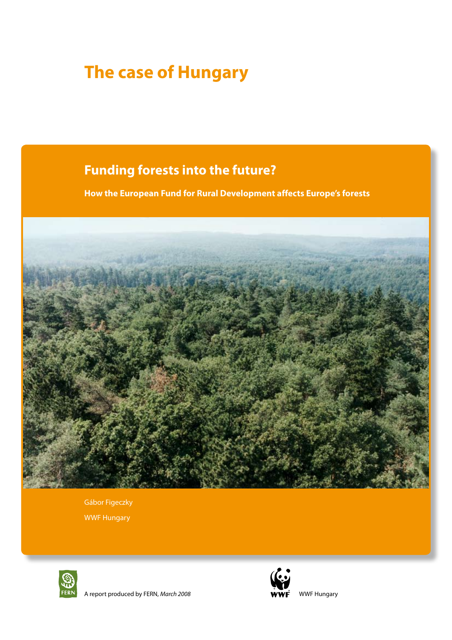# **The case of Hungary**

# **Funding forests into the future?**

**How the European Fund for Rural Development affects Europe's forests**



Gábor Figeczky WWF Hungary





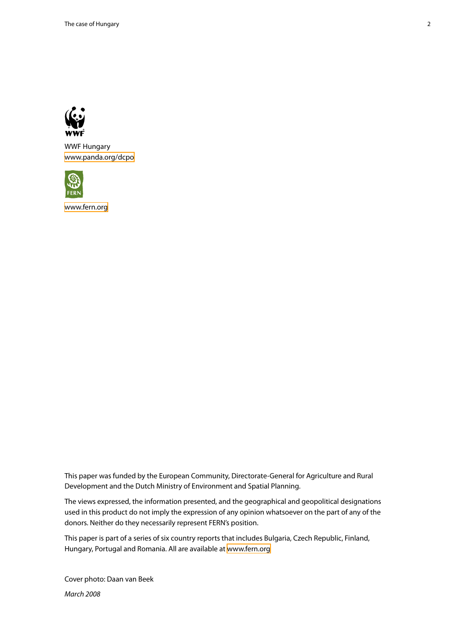

WWF Hungary <www.panda.org/dcpo>



<www.fern.org>

This paper was funded by the European Community, Directorate-General for Agriculture and Rural Development and the Dutch Ministry of Environment and Spatial Planning.

The views expressed, the information presented, and the geographical and geopolitical designations used in this product do not imply the expression of any opinion whatsoever on the part of any of the donors. Neither do they necessarily represent FERN's position.

This paper is part of a series of six country reports that includes Bulgaria, Czech Republic, Finland, Hungary, Portugal and Romania. All are available at<www.fern.org>

Cover photo: Daan van Beek

*March 2008*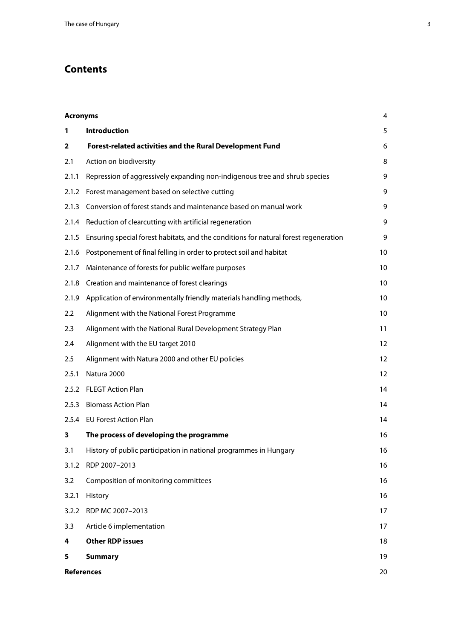# **Contents**

| <b>Acronyms</b> |                                                                                      | 4  |
|-----------------|--------------------------------------------------------------------------------------|----|
| 1               | <b>Introduction</b>                                                                  | 5  |
| 2               | Forest-related activities and the Rural Development Fund                             | 6  |
| 2.1             | Action on biodiversity                                                               | 8  |
| 2.1.1           | Repression of aggressively expanding non-indigenous tree and shrub species           | 9  |
| 2.1.2           | Forest management based on selective cutting                                         | 9  |
| 2.1.3           | Conversion of forest stands and maintenance based on manual work                     | 9  |
| 2.1.4           | Reduction of clearcutting with artificial regeneration                               | 9  |
| 2.1.5           | Ensuring special forest habitats, and the conditions for natural forest regeneration | 9  |
| 2.1.6           | Postponement of final felling in order to protect soil and habitat                   | 10 |
| 2.1.7           | Maintenance of forests for public welfare purposes                                   | 10 |
| 2.1.8           | Creation and maintenance of forest clearings                                         | 10 |
| 2.1.9           | Application of environmentally friendly materials handling methods,                  | 10 |
| 2.2             | Alignment with the National Forest Programme                                         | 10 |
| 2.3             | Alignment with the National Rural Development Strategy Plan                          | 11 |
| 2.4             | Alignment with the EU target 2010                                                    | 12 |
| 2.5             | Alignment with Natura 2000 and other EU policies                                     | 12 |
| 2.5.1           | Natura 2000                                                                          | 12 |
| 2.5.2           | <b>FLEGT Action Plan</b>                                                             | 14 |
| 2.5.3           | <b>Biomass Action Plan</b>                                                           | 14 |
|                 | 2.5.4 EU Forest Action Plan                                                          | 14 |
| 3               | The process of developing the programme                                              | 16 |
| 3.1             | History of public participation in national programmes in Hungary                    | 16 |
| 3.1.2           | RDP 2007-2013                                                                        | 16 |
| 3.2             | Composition of monitoring committees                                                 | 16 |
| 3.2.1           | History                                                                              | 16 |
| 3.2.2           | RDP MC 2007-2013                                                                     | 17 |
| 3.3             | Article 6 implementation                                                             | 17 |
| 4               | <b>Other RDP issues</b>                                                              | 18 |
| 5               | <b>Summary</b>                                                                       | 19 |
|                 | <b>References</b>                                                                    | 20 |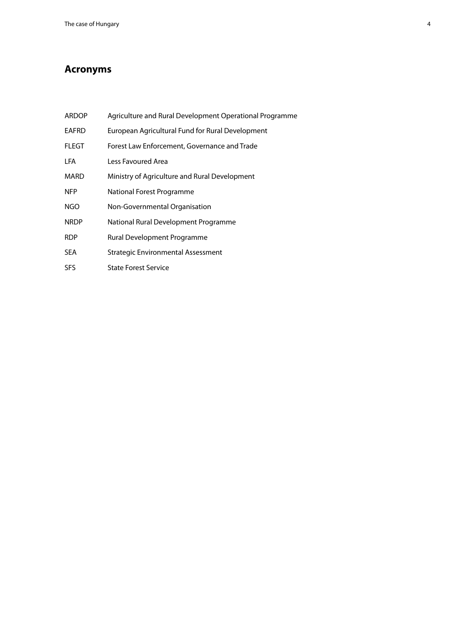## <span id="page-3-0"></span>**Acronyms**

- ARDOP Agriculture and Rural Development Operational Programme
- EAFRD European Agricultural Fund for Rural Development
- FLEGT Forest Law Enforcement, Governance and Trade
- LFA Less Favoured Area
- MARD Ministry of Agriculture and Rural Development
- NFP National Forest Programme
- NGO Non-Governmental Organisation
- NRDP National Rural Development Programme
- RDP Rural Development Programme
- SEA Strategic Environmental Assessment
- SFS State Forest Service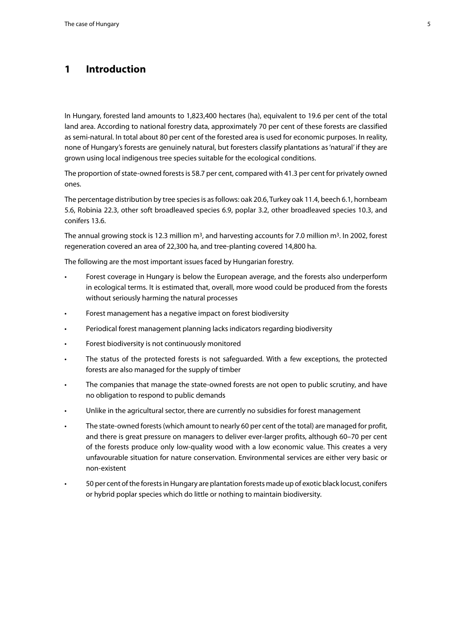## <span id="page-4-0"></span>**1 Introduction**

In Hungary, forested land amounts to 1,823,400 hectares (ha), equivalent to 19.6 per cent of the total land area. According to national forestry data, approximately 70 per cent of these forests are classified as semi-natural. In total about 80 per cent of the forested area is used for economic purposes. In reality, none of Hungary's forests are genuinely natural, but foresters classify plantations as 'natural' if they are grown using local indigenous tree species suitable for the ecological conditions.

The proportion of state-owned forests is 58.7 per cent, compared with 41.3 per cent for privately owned ones.

The percentage distribution by tree species is as follows: oak 20.6, Turkey oak 11.4, beech 6.1, hornbeam 5.6, Robinia 22.3, other soft broadleaved species 6.9, poplar 3.2, other broadleaved species 10.3, and conifers 13.6.

The annual growing stock is 12.3 million m<sup>3</sup>, and harvesting accounts for 7.0 million m<sup>3</sup>. In 2002, forest regeneration covered an area of 22,300 ha, and tree-planting covered 14,800 ha.

The following are the most important issues faced by Hungarian forestry.

- Forest coverage in Hungary is below the European average, and the forests also underperform in ecological terms. It is estimated that, overall, more wood could be produced from the forests without seriously harming the natural processes
- • Forest management has a negative impact on forest biodiversity
- Periodical forest management planning lacks indicators regarding biodiversity
- Forest biodiversity is not continuously monitored
- The status of the protected forests is not safeguarded. With a few exceptions, the protected forests are also managed for the supply of timber
- The companies that manage the state-owned forests are not open to public scrutiny, and have no obligation to respond to public demands
- Unlike in the agricultural sector, there are currently no subsidies for forest management
- The state-owned forests (which amount to nearly 60 per cent of the total) are managed for profit, and there is great pressure on managers to deliver ever-larger profits, although 60–70 per cent of the forests produce only low-quality wood with a low economic value. This creates a very unfavourable situation for nature conservation. Environmental services are either very basic or non-existent
- 50 per cent of the forests in Hungary are plantation forests made up of exotic black locust, conifers or hybrid poplar species which do little or nothing to maintain biodiversity.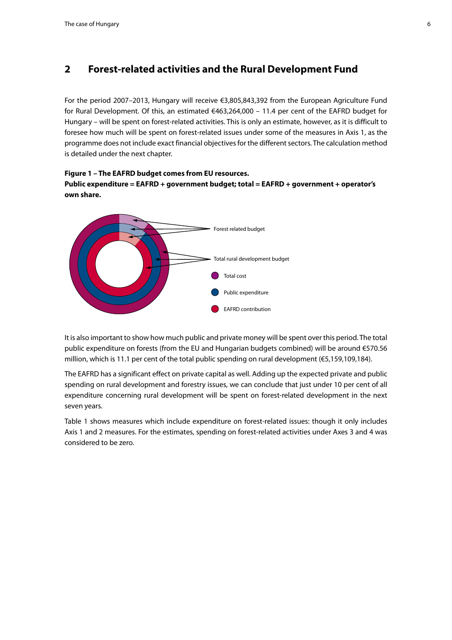## <span id="page-5-0"></span>**2 Forest-related activities and the Rural Development Fund**

For the period 2007–2013, Hungary will receive €3,805,843,392 from the European Agriculture Fund for Rural Development. Of this, an estimated €463,264,000 – 11.4 per cent of the EAFRD budget for Hungary – will be spent on forest-related activities. This is only an estimate, however, as it is difficult to foresee how much will be spent on forest-related issues under some of the measures in Axis 1, as the programme does not include exact financial objectives for the different sectors. The calculation method is detailed under the next chapter.

#### **Figure 1 – The EAFRD budget comes from EU resources. Public expenditure = EAFRD + government budget; total = EAFRD + government + operator's own share. The budgetary ratio of relativities in rural development in rural development in rural development**



It is also important to show how much public and private money will be spent over this period. The total public expenditure on forests (from the EU and Hungarian budgets combined) will be around €570.56 **million, which is 11.1 per cent of the total public spending on rural development (€5,159,109,184)**. **the Hungary windows** 

The EAFRD has a significant effect on private capital as well. Adding up the expected private and public spending on rural development and forestry issues, we can conclude that just under 10 per cent of all expenditure concerning rural development will be spent on forest-related development in the next seven years.

Table 1 shows measures which include expenditure on forest-related issues: though it only includes Axis 1 and 2 measures. For the estimates, spending on forest-related activities under Axes 3 and 4 was considered to be zero.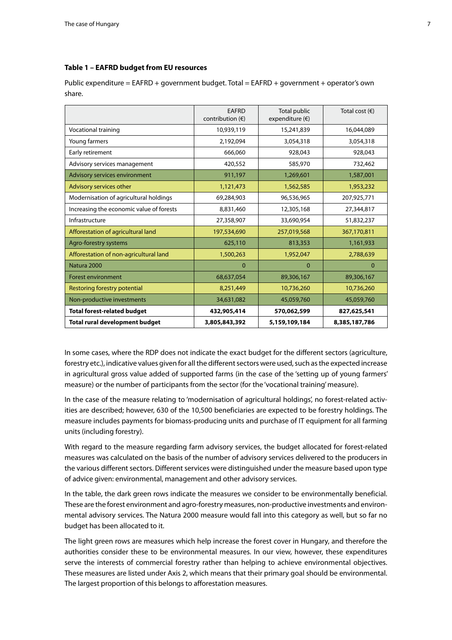#### **Table 1 – EAFRD budget from EU resources**

Public expenditure = EAFRD + government budget. Total = EAFRD + government + operator's own share.

|                                          | <b>EAFRD</b><br>contribution $(\epsilon)$ | Total public<br>expenditure $(\epsilon)$ | Total cost $(\epsilon)$ |
|------------------------------------------|-------------------------------------------|------------------------------------------|-------------------------|
| Vocational training                      | 10,939,119                                | 15,241,839                               | 16,044,089              |
| Young farmers                            | 2,192,094                                 | 3,054,318                                | 3,054,318               |
| Early retirement                         | 666,060                                   | 928,043                                  | 928,043                 |
| Advisory services management             | 420,552                                   | 585,970                                  | 732,462                 |
| Advisory services environment            | 911,197                                   | 1,269,601                                | 1,587,001               |
| Advisory services other                  | 1,121,473                                 | 1,562,585                                | 1,953,232               |
| Modernisation of agricultural holdings   | 69,284,903                                | 96,536,965                               | 207,925,771             |
| Increasing the economic value of forests | 8,831,460                                 | 12,305,168                               | 27,344,817              |
| Infrastructure                           | 27,358,907                                | 33,690,954                               | 51,832,237              |
| Afforestation of agricultural land       | 197,534,690                               | 257,019,568                              | 367,170,811             |
| Agro-forestry systems                    | 625,110                                   | 813,353                                  | 1,161,933               |
| Afforestation of non-agricultural land   | 1,500,263                                 | 1,952,047                                | 2,788,639               |
| Natura 2000                              | 0                                         | $\mathbf 0$                              | $\Omega$                |
| <b>Forest environment</b>                | 68,637,054                                | 89,306,167                               | 89,306,167              |
| Restoring forestry potential             | 8,251,449                                 | 10,736,260                               | 10,736,260              |
| Non-productive investments               | 34,631,082                                | 45,059,760                               | 45,059,760              |
| <b>Total forest-related budget</b>       | 432,905,414                               | 570,062,599                              | 827,625,541             |
| <b>Total rural development budget</b>    | 3,805,843,392                             | 5,159,109,184                            | 8,385,187,786           |

In some cases, where the RDP does not indicate the exact budget for the different sectors (agriculture, forestry etc.), indicative values given for all the different sectors were used, such as the expected increase in agricultural gross value added of supported farms (in the case of the 'setting up of young farmers' measure) or the number of participants from the sector (for the 'vocational training' measure).

In the case of the measure relating to 'modernisation of agricultural holdings', no forest-related activities are described; however, 630 of the 10,500 beneficiaries are expected to be forestry holdings. The measure includes payments for biomass-producing units and purchase of IT equipment for all farming units (including forestry).

With regard to the measure regarding farm advisory services, the budget allocated for forest-related measures was calculated on the basis of the number of advisory services delivered to the producers in the various different sectors. Different services were distinguished under the measure based upon type of advice given: environmental, management and other advisory services.

In the table, the dark green rows indicate the measures we consider to be environmentally beneficial. These are the forest environment and agro-forestry measures, non-productive investments and environmental advisory services. The Natura 2000 measure would fall into this category as well, but so far no budget has been allocated to it.

The light green rows are measures which help increase the forest cover in Hungary, and therefore the authorities consider these to be environmental measures. In our view, however, these expenditures serve the interests of commercial forestry rather than helping to achieve environmental objectives. These measures are listed under Axis 2, which means that their primary goal should be environmental. The largest proportion of this belongs to afforestation measures.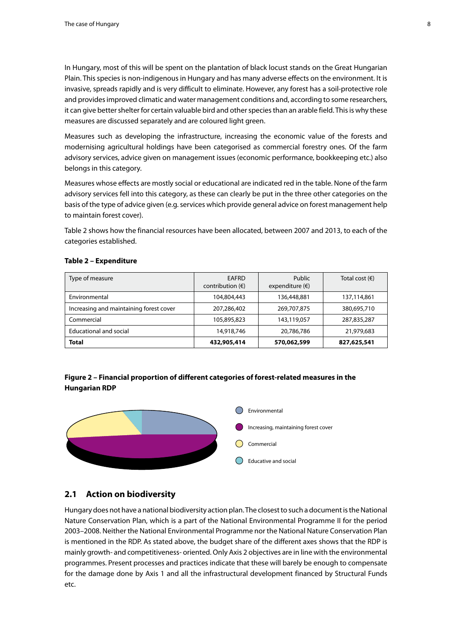<span id="page-7-0"></span>In Hungary, most of this will be spent on the plantation of black locust stands on the Great Hungarian Plain. This species is non-indigenous in Hungary and has many adverse effects on the environment. It is invasive, spreads rapidly and is very difficult to eliminate. However, any forest has a soil-protective role and provides improved climatic and water management conditions and, according to some researchers, it can give better shelter for certain valuable bird and other species than an arable field. This is why these measures are discussed separately and are coloured light green.

Measures such as developing the infrastructure, increasing the economic value of the forests and modernising agricultural holdings have been categorised as commercial forestry ones. Of the farm advisory services, advice given on management issues (economic performance, bookkeeping etc.) also belongs in this category.

Measures whose effects are mostly social or educational are indicated red in the table. None of the farm advisory services fell into this category, as these can clearly be put in the three other categories on the basis of the type of advice given (e.g. services which provide general advice on forest management help to maintain forest cover).

Table 2 shows how the financial resources have been allocated, between 2007 and 2013, to each of the categories established.

| Type of measure                         | EAFRD<br>contribution $(\epsilon)$ | Public<br>expenditure $(\epsilon)$ | Total cost $(\epsilon)$ |
|-----------------------------------------|------------------------------------|------------------------------------|-------------------------|
| Environmental                           | 104,804,443                        | 136,448,881                        | 137,114,861             |
| Increasing and maintaining forest cover | 207,286,402                        | 269,707,875                        | 380,695,710             |
| Commercial                              | 105,895,823                        | 143,119,057                        | 287,835,287             |
| <b>Educational and social</b>           | 14,918,746                         | 20,786,786                         | 21,979,683              |
| Total                                   | 432,905,414                        | 570,062,599                        | 827,625,541             |

#### **Table 2 – Expenditure**

## Figure 2 – Financial proportion of different categories of forest-related measures in the **Hungarian RDP the Hungarian RDP**



## **2.1 Action on biodiversity**

Hungary does not have a national biodiversity action plan. The closest to such a document is the National Nature Conservation Plan, which is a part of the National Environmental Programme II for the period 2003–2008. Neither the National Environmental Programme nor the National Nature Conservation Plan is mentioned in the RDP. As stated above, the budget share of the different axes shows that the RDP is mainly growth- and competitiveness- oriented. Only Axis 2 objectives are in line with the environmental programmes. Present processes and practices indicate that these will barely be enough to compensate for the damage done by Axis 1 and all the infrastructural development financed by Structural Funds etc.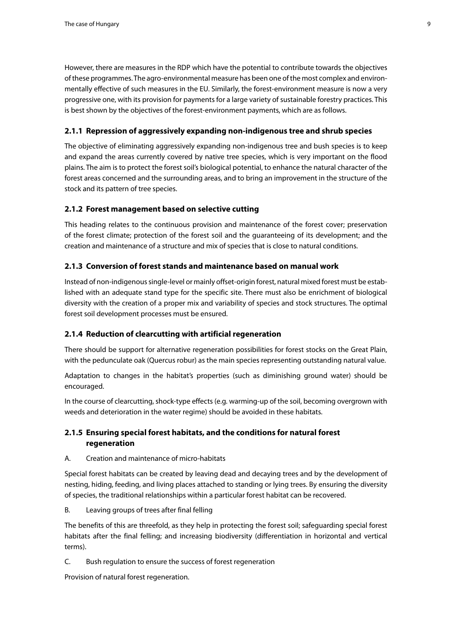<span id="page-8-0"></span>However, there are measures in the RDP which have the potential to contribute towards the objectives of these programmes. The agro-environmental measure has been one of the most complex and environmentally effective of such measures in the EU. Similarly, the forest-environment measure is now a very progressive one, with its provision for payments for a large variety of sustainable forestry practices. This is best shown by the objectives of the forest-environment payments, which are as follows.

## **2.1.1 Repression of aggressively expanding non-indigenous tree and shrub species**

The objective of eliminating aggressively expanding non-indigenous tree and bush species is to keep and expand the areas currently covered by native tree species, which is very important on the flood plains. The aim is to protect the forest soil's biological potential, to enhance the natural character of the forest areas concerned and the surrounding areas, and to bring an improvement in the structure of the stock and its pattern of tree species.

## **2.1.2 Forest management based on selective cutting**

This heading relates to the continuous provision and maintenance of the forest cover; preservation of the forest climate; protection of the forest soil and the guaranteeing of its development; and the creation and maintenance of a structure and mix of species that is close to natural conditions.

### **2.1.3 Conversion of forest stands and maintenance based on manual work**

Instead of non-indigenous single-level or mainly offset-origin forest, natural mixed forest must be established with an adequate stand type for the specific site. There must also be enrichment of biological diversity with the creation of a proper mix and variability of species and stock structures. The optimal forest soil development processes must be ensured.

#### **2.1.4 Reduction of clearcutting with artificial regeneration**

There should be support for alternative regeneration possibilities for forest stocks on the Great Plain, with the pedunculate oak (Quercus robur) as the main species representing outstanding natural value.

Adaptation to changes in the habitat's properties (such as diminishing ground water) should be encouraged.

In the course of clearcutting, shock-type effects (e.g. warming-up of the soil, becoming overgrown with weeds and deterioration in the water regime) should be avoided in these habitats.

## **2.1.5 Ensuring special forest habitats, and the conditions for natural forest regeneration**

A. Creation and maintenance of micro-habitats

Special forest habitats can be created by leaving dead and decaying trees and by the development of nesting, hiding, feeding, and living places attached to standing or lying trees. By ensuring the diversity of species, the traditional relationships within a particular forest habitat can be recovered.

B. Leaving groups of trees after final felling

The benefits of this are threefold, as they help in protecting the forest soil; safeguarding special forest habitats after the final felling; and increasing biodiversity (differentiation in horizontal and vertical terms).

C. Bush regulation to ensure the success of forest regeneration

Provision of natural forest regeneration.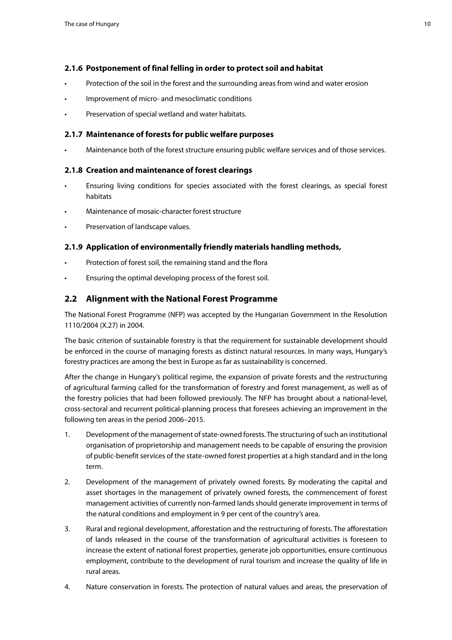## <span id="page-9-0"></span>**2.1.6 Postponement of final felling in order to protect soil and habitat**

- Protection of the soil in the forest and the surrounding areas from wind and water erosion
- Improvement of micro- and mesoclimatic conditions
- Preservation of special wetland and water habitats.

## **2.1.7 Maintenance of forests for public welfare purposes**

Maintenance both of the forest structure ensuring public welfare services and of those services.

## **2.1.8 Creation and maintenance of forest clearings**

- Ensuring living conditions for species associated with the forest clearings, as special forest habitats
- Maintenance of mosaic-character forest structure
- Preservation of landscape values.

## **2.1.9 Application of environmentally friendly materials handling methods,**

- Protection of forest soil, the remaining stand and the flora
- Ensuring the optimal developing process of the forest soil.

## **2.2 Alignment with the National Forest Programme**

The National Forest Programme (NFP) was accepted by the Hungarian Government in the Resolution 1110/2004 (X.27) in 2004.

The basic criterion of sustainable forestry is that the requirement for sustainable development should be enforced in the course of managing forests as distinct natural resources. In many ways, Hungary's forestry practices are among the best in Europe as far as sustainability is concerned.

After the change in Hungary's political regime, the expansion of private forests and the restructuring of agricultural farming called for the transformation of forestry and forest management, as well as of the forestry policies that had been followed previously. The NFP has brought about a national-level, cross-sectoral and recurrent political-planning process that foresees achieving an improvement in the following ten areas in the period 2006–2015.

- 1. Development of the management of state-owned forests. The structuring of such an institutional organisation of proprietorship and management needs to be capable of ensuring the provision of public-benefit services of the state-owned forest properties at a high standard and in the long term.
- 2. Development of the management of privately owned forests. By moderating the capital and asset shortages in the management of privately owned forests, the commencement of forest management activities of currently non-farmed lands should generate improvement in terms of the natural conditions and employment in 9 per cent of the country's area.
- 3. Rural and regional development, afforestation and the restructuring of forests. The afforestation of lands released in the course of the transformation of agricultural activities is foreseen to increase the extent of national forest properties, generate job opportunities, ensure continuous employment, contribute to the development of rural tourism and increase the quality of life in rural areas.
- 4. Nature conservation in forests. The protection of natural values and areas, the preservation of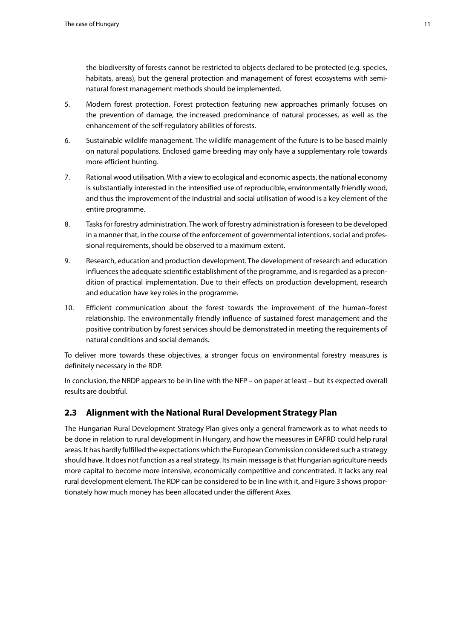<span id="page-10-0"></span>the biodiversity of forests cannot be restricted to objects declared to be protected (e.g. species, habitats, areas), but the general protection and management of forest ecosystems with seminatural forest management methods should be implemented.

- 5. Modern forest protection. Forest protection featuring new approaches primarily focuses on the prevention of damage, the increased predominance of natural processes, as well as the enhancement of the self-regulatory abilities of forests.
- 6. Sustainable wildlife management. The wildlife management of the future is to be based mainly on natural populations. Enclosed game breeding may only have a supplementary role towards more efficient hunting.
- 7. Rational wood utilisation. With a view to ecological and economic aspects, the national economy is substantially interested in the intensified use of reproducible, environmentally friendly wood, and thus the improvement of the industrial and social utilisation of wood is a key element of the entire programme.
- 8. Tasks for forestry administration. The work of forestry administration is foreseen to be developed in a manner that, in the course of the enforcement of governmental intentions, social and professional requirements, should be observed to a maximum extent.
- 9. Research, education and production development. The development of research and education influences the adequate scientific establishment of the programme, and is regarded as a precondition of practical implementation. Due to their effects on production development, research and education have key roles in the programme.
- 10. Efficient communication about the forest towards the improvement of the human–forest relationship. The environmentally friendly influence of sustained forest management and the positive contribution by forest services should be demonstrated in meeting the requirements of natural conditions and social demands.

To deliver more towards these objectives, a stronger focus on environmental forestry measures is definitely necessary in the RDP.

In conclusion, the NRDP appears to be in line with the NFP – on paper at least – but its expected overall results are doubtful.

## **2.3 Alignment with the National Rural Development Strategy Plan**

The Hungarian Rural Development Strategy Plan gives only a general framework as to what needs to be done in relation to rural development in Hungary, and how the measures in EAFRD could help rural areas. It has hardly fulfilled the expectations which the European Commission considered such a strategy should have. It does not function as a real strategy. Its main message is that Hungarian agriculture needs more capital to become more intensive, economically competitive and concentrated. It lacks any real rural development element. The RDP can be considered to be in line with it, and Figure 3 shows proportionately how much money has been allocated under the different Axes.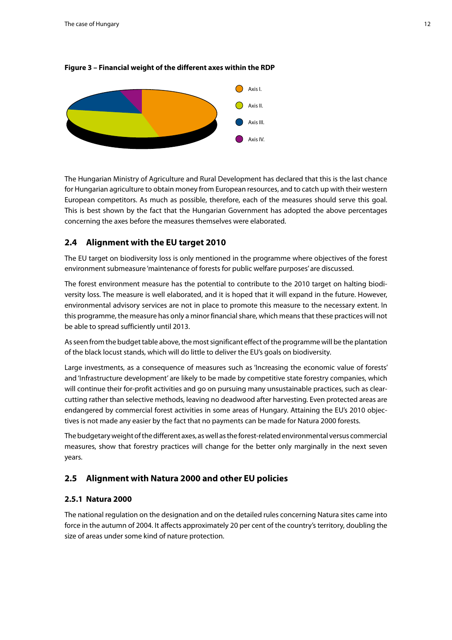

#### <span id="page-11-0"></span>**Figure 3 – Financial weight of the different axes within the RDP**

The Hungarian Ministry of Agriculture and Rural Development has declared that this is the last chance for Hungarian agriculture to obtain money from European resources, and to catch up with their western European competitors. As much as possible, therefore, each of the measures should serve this goal. This is best shown by the fact that the Hungarian Government has adopted the above percentages concerning the axes before the measures themselves were elaborated.

## **2.4 Alignment with the EU target 2010**

The EU target on biodiversity loss is only mentioned in the programme where objectives of the forest environment submeasure 'maintenance of forests for public welfare purposes' are discussed.

The forest environment measure has the potential to contribute to the 2010 target on halting biodiversity loss. The measure is well elaborated, and it is hoped that it will expand in the future. However, environmental advisory services are not in place to promote this measure to the necessary extent. In this programme, the measure has only a minor financial share, which means that these practices will not be able to spread sufficiently until 2013.

As seen from the budget table above, the most significant effect of the programme will be the plantation of the black locust stands, which will do little to deliver the EU's goals on biodiversity.

Large investments, as a consequence of measures such as 'Increasing the economic value of forests' and 'Infrastructure development' are likely to be made by competitive state forestry companies, which will continue their for-profit activities and go on pursuing many unsustainable practices, such as clearcutting rather than selective methods, leaving no deadwood after harvesting. Even protected areas are endangered by commercial forest activities in some areas of Hungary. Attaining the EU's 2010 objectives is not made any easier by the fact that no payments can be made for Natura 2000 forests.

The budgetary weight of the different axes, as well as the forest-related environmental versus commercial measures, show that forestry practices will change for the better only marginally in the next seven years.

## **2.5 Alignment with Natura 2000 and other EU policies**

#### **2.5.1 Natura 2000**

The national regulation on the designation and on the detailed rules concerning Natura sites came into force in the autumn of 2004. It affects approximately 20 per cent of the country's territory, doubling the size of areas under some kind of nature protection.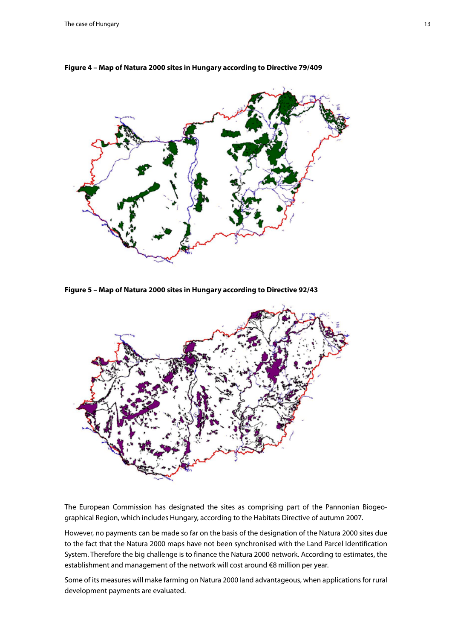

**Figure 4 – Map of Natura 2000 sites in Hungary according to Directive 79/409**

**Figure 5 – Map of Natura 2000 sites in Hungary according to Directive 92/43** 



The European Commission has designated the sites as comprising part of the Pannonian Biogeographical Region, which includes Hungary, according to the Habitats Directive of autumn 2007.

However, no payments can be made so far on the basis of the designation of the Natura 2000 sites due to the fact that the Natura 2000 maps have not been synchronised with the Land Parcel Identification System. Therefore the big challenge is to finance the Natura 2000 network. According to estimates, the establishment and management of the network will cost around €8 million per year.

Some of its measures will make farming on Natura 2000 land advantageous, when applications for rural development payments are evaluated.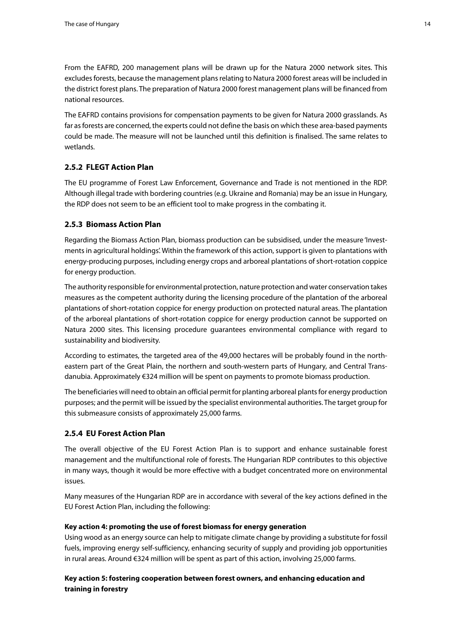<span id="page-13-0"></span>From the EAFRD, 200 management plans will be drawn up for the Natura 2000 network sites. This excludes forests, because the management plans relating to Natura 2000 forest areas will be included in the district forest plans. The preparation of Natura 2000 forest management plans will be financed from national resources.

The EAFRD contains provisions for compensation payments to be given for Natura 2000 grasslands. As far as forests are concerned, the experts could not define the basis on which these area-based payments could be made. The measure will not be launched until this definition is finalised. The same relates to wetlands.

## **2.5.2 FLEGT Action Plan**

The EU programme of Forest Law Enforcement, Governance and Trade is not mentioned in the RDP. Although illegal trade with bordering countries (e.g. Ukraine and Romania) may be an issue in Hungary, the RDP does not seem to be an efficient tool to make progress in the combating it.

## **2.5.3 Biomass Action Plan**

Regarding the Biomass Action Plan, biomass production can be subsidised, under the measure 'Investments in agricultural holdings'. Within the framework of this action, support is given to plantations with energy-producing purposes, including energy crops and arboreal plantations of short-rotation coppice for energy production.

The authority responsible for environmental protection, nature protection and water conservation takes measures as the competent authority during the licensing procedure of the plantation of the arboreal plantations of short-rotation coppice for energy production on protected natural areas. The plantation of the arboreal plantations of short-rotation coppice for energy production cannot be supported on Natura 2000 sites. This licensing procedure guarantees environmental compliance with regard to sustainability and biodiversity.

According to estimates, the targeted area of the 49,000 hectares will be probably found in the northeastern part of the Great Plain, the northern and south-western parts of Hungary, and Central Transdanubia. Approximately €324 million will be spent on payments to promote biomass production.

The beneficiaries will need to obtain an official permit for planting arboreal plants for energy production purposes; and the permit will be issued by the specialist environmental authorities. The target group for this submeasure consists of approximately 25,000 farms.

## **2.5.4 EU Forest Action Plan**

The overall objective of the EU Forest Action Plan is to support and enhance sustainable forest management and the multifunctional role of forests. The Hungarian RDP contributes to this objective in many ways, though it would be more effective with a budget concentrated more on environmental issues.

Many measures of the Hungarian RDP are in accordance with several of the key actions defined in the EU Forest Action Plan, including the following:

#### **Key action 4: promoting the use of forest biomass for energy generation**

Using wood as an energy source can help to mitigate climate change by providing a substitute for fossil fuels, improving energy self-sufficiency, enhancing security of supply and providing job opportunities in rural areas. Around €324 million will be spent as part of this action, involving 25,000 farms.

## **Key action 5: fostering cooperation between forest owners, and enhancing education and training in forestry**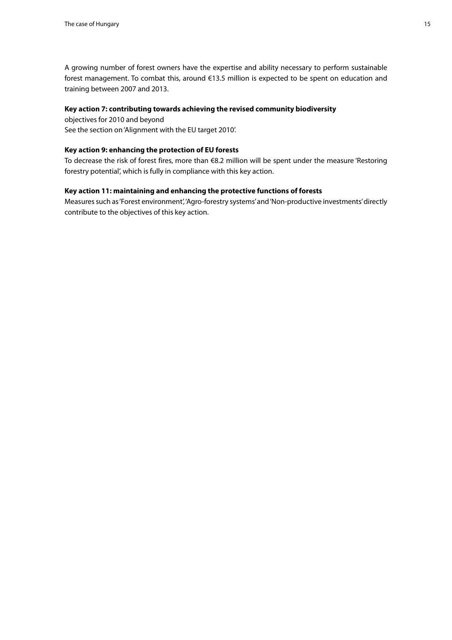A growing number of forest owners have the expertise and ability necessary to perform sustainable forest management. To combat this, around €13.5 million is expected to be spent on education and training between 2007 and 2013.

#### **Key action 7: contributing towards achieving the revised community biodiversity**

objectives for 2010 and beyond See the section on 'Alignment with the EU target 2010'.

#### **Key action 9: enhancing the protection of EU forests**

To decrease the risk of forest fires, more than €8.2 million will be spent under the measure 'Restoring forestry potential', which is fully in compliance with this key action.

### **Key action 11: maintaining and enhancing the protective functions of forests**

Measures such as 'Forest environment', 'Agro-forestry systems' and 'Non-productive investments' directly contribute to the objectives of this key action.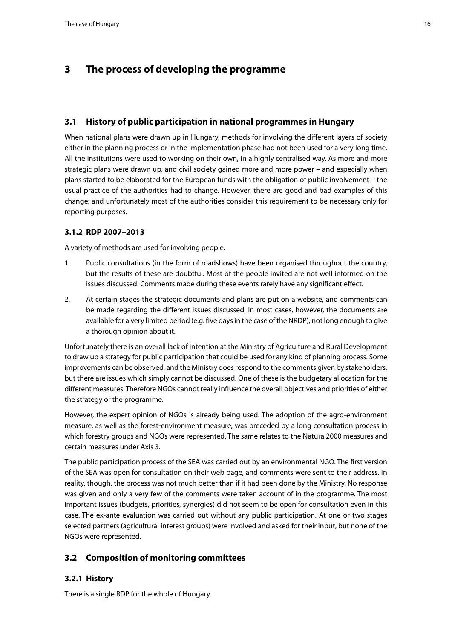## <span id="page-15-0"></span>**3 The process of developing the programme**

## **3.1 History of public participation in national programmes in Hungary**

When national plans were drawn up in Hungary, methods for involving the different layers of society either in the planning process or in the implementation phase had not been used for a very long time. All the institutions were used to working on their own, in a highly centralised way. As more and more strategic plans were drawn up, and civil society gained more and more power – and especially when plans started to be elaborated for the European funds with the obligation of public involvement – the usual practice of the authorities had to change. However, there are good and bad examples of this change; and unfortunately most of the authorities consider this requirement to be necessary only for reporting purposes.

## **3.1.2 RDP 2007–2013**

A variety of methods are used for involving people.

- 1. Public consultations (in the form of roadshows) have been organised throughout the country, but the results of these are doubtful. Most of the people invited are not well informed on the issues discussed. Comments made during these events rarely have any significant effect.
- 2. At certain stages the strategic documents and plans are put on a website, and comments can be made regarding the different issues discussed. In most cases, however, the documents are available for a very limited period (e.g. five days in the case of the NRDP), not long enough to give a thorough opinion about it.

Unfortunately there is an overall lack of intention at the Ministry of Agriculture and Rural Development to draw up a strategy for public participation that could be used for any kind of planning process. Some improvements can be observed, and the Ministry does respond to the comments given by stakeholders, but there are issues which simply cannot be discussed. One of these is the budgetary allocation for the different measures. Therefore NGOs cannot really influence the overall objectives and priorities of either the strategy or the programme.

However, the expert opinion of NGOs is already being used. The adoption of the agro-environment measure, as well as the forest-environment measure, was preceded by a long consultation process in which forestry groups and NGOs were represented. The same relates to the Natura 2000 measures and certain measures under Axis 3.

The public participation process of the SEA was carried out by an environmental NGO. The first version of the SEA was open for consultation on their web page, and comments were sent to their address. In reality, though, the process was not much better than if it had been done by the Ministry. No response was given and only a very few of the comments were taken account of in the programme. The most important issues (budgets, priorities, synergies) did not seem to be open for consultation even in this case. The ex-ante evaluation was carried out without any public participation. At one or two stages selected partners (agricultural interest groups) were involved and asked for their input, but none of the NGOs were represented.

## **3.2 Composition of monitoring committees**

## **3.2.1 History**

There is a single RDP for the whole of Hungary.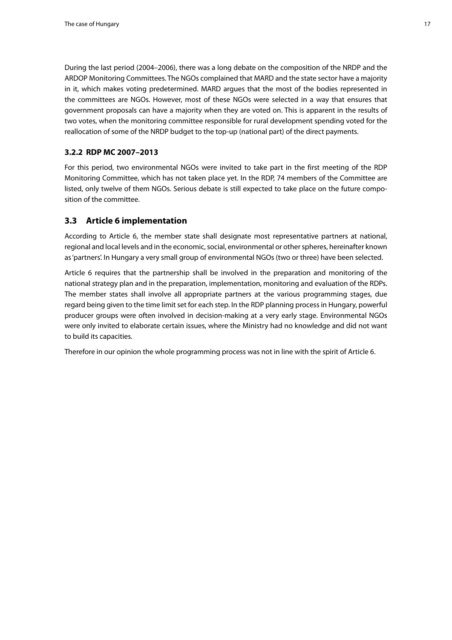<span id="page-16-0"></span>During the last period (2004–2006), there was a long debate on the composition of the NRDP and the ARDOP Monitoring Committees. The NGOs complained that MARD and the state sector have a majority in it, which makes voting predetermined. MARD argues that the most of the bodies represented in the committees are NGOs. However, most of these NGOs were selected in a way that ensures that government proposals can have a majority when they are voted on. This is apparent in the results of two votes, when the monitoring committee responsible for rural development spending voted for the reallocation of some of the NRDP budget to the top-up (national part) of the direct payments.

## **3.2.2 RDP MC 2007–2013**

For this period, two environmental NGOs were invited to take part in the first meeting of the RDP Monitoring Committee, which has not taken place yet. In the RDP, 74 members of the Committee are listed, only twelve of them NGOs. Serious debate is still expected to take place on the future composition of the committee.

## **3.3 Article 6 implementation**

According to Article 6, the member state shall designate most representative partners at national, regional and local levels and in the economic, social, environmental or other spheres, hereinafter known as 'partners'. In Hungary a very small group of environmental NGOs (two or three) have been selected.

Article 6 requires that the partnership shall be involved in the preparation and monitoring of the national strategy plan and in the preparation, implementation, monitoring and evaluation of the RDPs. The member states shall involve all appropriate partners at the various programming stages, due regard being given to the time limit set for each step. In the RDP planning process in Hungary, powerful producer groups were often involved in decision-making at a very early stage. Environmental NGOs were only invited to elaborate certain issues, where the Ministry had no knowledge and did not want to build its capacities.

Therefore in our opinion the whole programming process was not in line with the spirit of Article 6.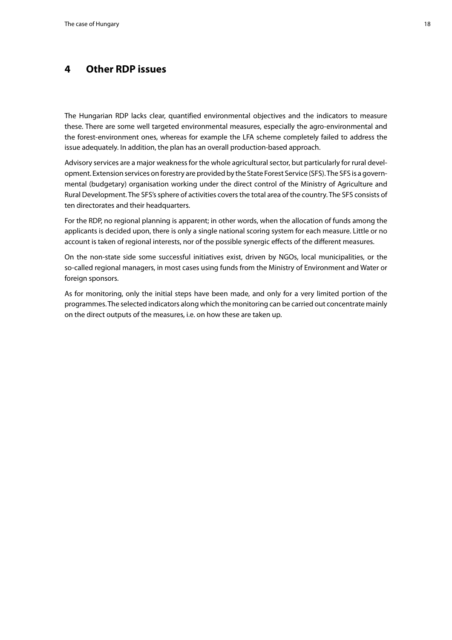## <span id="page-17-0"></span>**4 Other RDP issues**

The Hungarian RDP lacks clear, quantified environmental objectives and the indicators to measure these. There are some well targeted environmental measures, especially the agro-environmental and the forest-environment ones, whereas for example the LFA scheme completely failed to address the issue adequately. In addition, the plan has an overall production-based approach.

Advisory services are a major weakness for the whole agricultural sector, but particularly for rural development. Extension services on forestry are provided by the State Forest Service (SFS). The SFS is a governmental (budgetary) organisation working under the direct control of the Ministry of Agriculture and Rural Development. The SFS's sphere of activities covers the total area of the country. The SFS consists of ten directorates and their headquarters.

For the RDP, no regional planning is apparent; in other words, when the allocation of funds among the applicants is decided upon, there is only a single national scoring system for each measure. Little or no account is taken of regional interests, nor of the possible synergic effects of the different measures.

On the non-state side some successful initiatives exist, driven by NGOs, local municipalities, or the so-called regional managers, in most cases using funds from the Ministry of Environment and Water or foreign sponsors.

As for monitoring, only the initial steps have been made, and only for a very limited portion of the programmes. The selected indicators along which the monitoring can be carried out concentrate mainly on the direct outputs of the measures, i.e. on how these are taken up.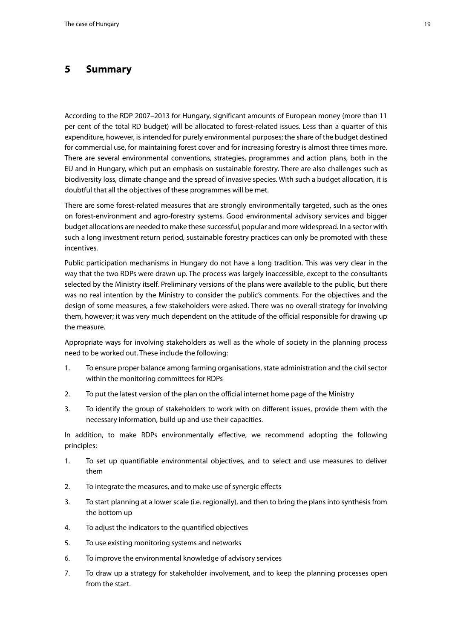## <span id="page-18-0"></span>**5 Summary**

According to the RDP 2007–2013 for Hungary, significant amounts of European money (more than 11 per cent of the total RD budget) will be allocated to forest-related issues. Less than a quarter of this expenditure, however, is intended for purely environmental purposes; the share of the budget destined for commercial use, for maintaining forest cover and for increasing forestry is almost three times more. There are several environmental conventions, strategies, programmes and action plans, both in the EU and in Hungary, which put an emphasis on sustainable forestry. There are also challenges such as biodiversity loss, climate change and the spread of invasive species. With such a budget allocation, it is doubtful that all the objectives of these programmes will be met.

There are some forest-related measures that are strongly environmentally targeted, such as the ones on forest-environment and agro-forestry systems. Good environmental advisory services and bigger budget allocations are needed to make these successful, popular and more widespread. In a sector with such a long investment return period, sustainable forestry practices can only be promoted with these incentives.

Public participation mechanisms in Hungary do not have a long tradition. This was very clear in the way that the two RDPs were drawn up. The process was largely inaccessible, except to the consultants selected by the Ministry itself. Preliminary versions of the plans were available to the public, but there was no real intention by the Ministry to consider the public's comments. For the objectives and the design of some measures, a few stakeholders were asked. There was no overall strategy for involving them, however; it was very much dependent on the attitude of the official responsible for drawing up the measure.

Appropriate ways for involving stakeholders as well as the whole of society in the planning process need to be worked out. These include the following:

- 1. To ensure proper balance among farming organisations, state administration and the civil sector within the monitoring committees for RDPs
- 2. To put the latest version of the plan on the official internet home page of the Ministry
- 3. To identify the group of stakeholders to work with on different issues, provide them with the necessary information, build up and use their capacities.

In addition, to make RDPs environmentally effective, we recommend adopting the following principles:

- 1. To set up quantifiable environmental objectives, and to select and use measures to deliver them
- 2. To integrate the measures, and to make use of synergic effects
- 3. To start planning at a lower scale (i.e. regionally), and then to bring the plans into synthesis from the bottom up
- 4. To adjust the indicators to the quantified objectives
- 5. To use existing monitoring systems and networks
- 6. To improve the environmental knowledge of advisory services
- 7. To draw up a strategy for stakeholder involvement, and to keep the planning processes open from the start.